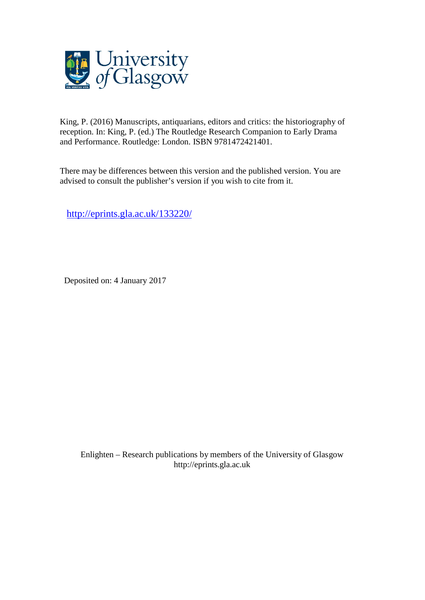

King, P. (2016) Manuscripts, antiquarians, editors and critics: the historiography of reception. In: King, P. (ed.) The Routledge Research Companion to Early Drama and Performance. Routledge: London. ISBN 9781472421401.

There may be differences between this version and the published version. You are advised to consult the publisher's version if you wish to cite from it.

<http://eprints.gla.ac.uk/133220/>

Deposited on: 4 January 2017

Enlighten – Research publications by members of the University of Glasgo[w](http://eprints.gla.ac.uk/) [http://eprints.gla.ac.uk](http://eprints.gla.ac.uk/)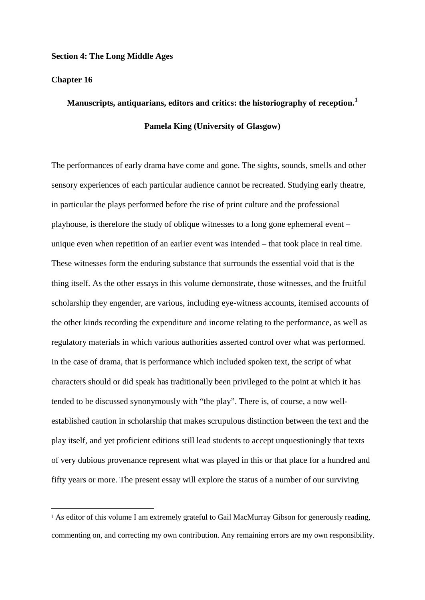### **Section 4: The Long Middle Ages**

## **Chapter 16**

1

# **Manuscripts, antiquarians, editors and critics: the historiography of reception.[1](#page-1-0) Pamela King (University of Glasgow)**

The performances of early drama have come and gone. The sights, sounds, smells and other sensory experiences of each particular audience cannot be recreated. Studying early theatre, in particular the plays performed before the rise of print culture and the professional playhouse, is therefore the study of oblique witnesses to a long gone ephemeral event – unique even when repetition of an earlier event was intended – that took place in real time. These witnesses form the enduring substance that surrounds the essential void that is the thing itself. As the other essays in this volume demonstrate, those witnesses, and the fruitful scholarship they engender, are various, including eye-witness accounts, itemised accounts of the other kinds recording the expenditure and income relating to the performance, as well as regulatory materials in which various authorities asserted control over what was performed. In the case of drama, that is performance which included spoken text, the script of what characters should or did speak has traditionally been privileged to the point at which it has tended to be discussed synonymously with "the play". There is, of course, a now wellestablished caution in scholarship that makes scrupulous distinction between the text and the play itself, and yet proficient editions still lead students to accept unquestioningly that texts of very dubious provenance represent what was played in this or that place for a hundred and fifty years or more. The present essay will explore the status of a number of our surviving

<span id="page-1-0"></span><sup>&</sup>lt;sup>1</sup> As editor of this volume I am extremely grateful to Gail MacMurray Gibson for generously reading, commenting on, and correcting my own contribution. Any remaining errors are my own responsibility.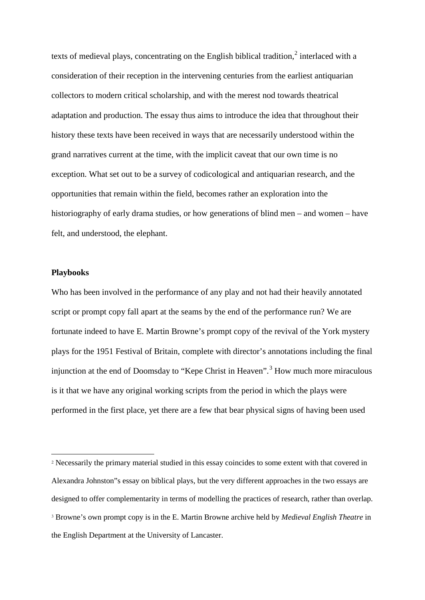texts of medieval plays, concentrating on the English biblical tradition.<sup>[2](#page-2-0)</sup> interlaced with a consideration of their reception in the intervening centuries from the earliest antiquarian collectors to modern critical scholarship, and with the merest nod towards theatrical adaptation and production. The essay thus aims to introduce the idea that throughout their history these texts have been received in ways that are necessarily understood within the grand narratives current at the time, with the implicit caveat that our own time is no exception. What set out to be a survey of codicological and antiquarian research, and the opportunities that remain within the field, becomes rather an exploration into the historiography of early drama studies, or how generations of blind men – and women – have felt, and understood, the elephant.

## **Playbooks**

 $\overline{\phantom{a}}$ 

Who has been involved in the performance of any play and not had their heavily annotated script or prompt copy fall apart at the seams by the end of the performance run? We are fortunate indeed to have E. Martin Browne's prompt copy of the revival of the York mystery plays for the 1951 Festival of Britain, complete with director's annotations including the final injunction at the end of Doomsday to "Kepe Christ in Heaven".<sup>[3](#page-2-1)</sup> How much more miraculous is it that we have any original working scripts from the period in which the plays were performed in the first place, yet there are a few that bear physical signs of having been used

<span id="page-2-1"></span><span id="page-2-0"></span><sup>2</sup> Necessarily the primary material studied in this essay coincides to some extent with that covered in Alexandra Johnston"s essay on biblical plays, but the very different approaches in the two essays are designed to offer complementarity in terms of modelling the practices of research, rather than overlap. <sup>3</sup> Browne's own prompt copy is in the E. Martin Browne archive held by *Medieval English Theatre* in the English Department at the University of Lancaster.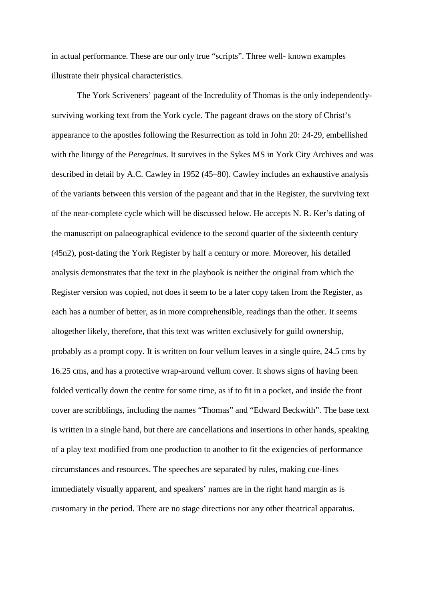in actual performance. These are our only true "scripts". Three well- known examples illustrate their physical characteristics.

The York Scriveners' pageant of the Incredulity of Thomas is the only independentlysurviving working text from the York cycle. The pageant draws on the story of Christ's appearance to the apostles following the Resurrection as told in John 20: 24-29, embellished with the liturgy of the *Peregrinus*. It survives in the Sykes MS in York City Archives and was described in detail by A.C. Cawley in 1952 (45–80). Cawley includes an exhaustive analysis of the variants between this version of the pageant and that in the Register, the surviving text of the near-complete cycle which will be discussed below. He accepts N. R. Ker's dating of the manuscript on palaeographical evidence to the second quarter of the sixteenth century (45n2), post-dating the York Register by half a century or more. Moreover, his detailed analysis demonstrates that the text in the playbook is neither the original from which the Register version was copied, not does it seem to be a later copy taken from the Register, as each has a number of better, as in more comprehensible, readings than the other. It seems altogether likely, therefore, that this text was written exclusively for guild ownership, probably as a prompt copy. It is written on four vellum leaves in a single quire, 24.5 cms by 16.25 cms, and has a protective wrap-around vellum cover. It shows signs of having been folded vertically down the centre for some time, as if to fit in a pocket, and inside the front cover are scribblings, including the names "Thomas" and "Edward Beckwith". The base text is written in a single hand, but there are cancellations and insertions in other hands, speaking of a play text modified from one production to another to fit the exigencies of performance circumstances and resources. The speeches are separated by rules, making cue-lines immediately visually apparent, and speakers' names are in the right hand margin as is customary in the period. There are no stage directions nor any other theatrical apparatus.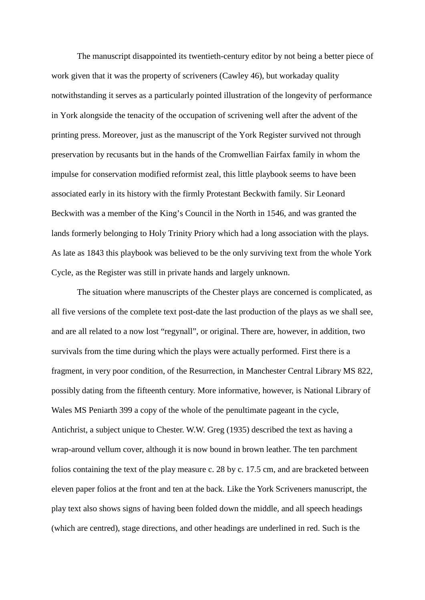The manuscript disappointed its twentieth-century editor by not being a better piece of work given that it was the property of scriveners (Cawley 46), but workaday quality notwithstanding it serves as a particularly pointed illustration of the longevity of performance in York alongside the tenacity of the occupation of scrivening well after the advent of the printing press. Moreover, just as the manuscript of the York Register survived not through preservation by recusants but in the hands of the Cromwellian Fairfax family in whom the impulse for conservation modified reformist zeal, this little playbook seems to have been associated early in its history with the firmly Protestant Beckwith family. Sir Leonard Beckwith was a member of the King's Council in the North in 1546, and was granted the lands formerly belonging to Holy Trinity Priory which had a long association with the plays. As late as 1843 this playbook was believed to be the only surviving text from the whole York Cycle, as the Register was still in private hands and largely unknown.

The situation where manuscripts of the Chester plays are concerned is complicated, as all five versions of the complete text post-date the last production of the plays as we shall see, and are all related to a now lost "regynall", or original. There are, however, in addition, two survivals from the time during which the plays were actually performed. First there is a fragment, in very poor condition, of the Resurrection, in Manchester Central Library MS 822, possibly dating from the fifteenth century. More informative, however, is National Library of Wales MS Peniarth 399 a copy of the whole of the penultimate pageant in the cycle, Antichrist, a subject unique to Chester. W.W. Greg (1935) described the text as having a wrap-around vellum cover, although it is now bound in brown leather. The ten parchment folios containing the text of the play measure c. 28 by c. 17.5 cm, and are bracketed between eleven paper folios at the front and ten at the back. Like the York Scriveners manuscript, the play text also shows signs of having been folded down the middle, and all speech headings (which are centred), stage directions, and other headings are underlined in red. Such is the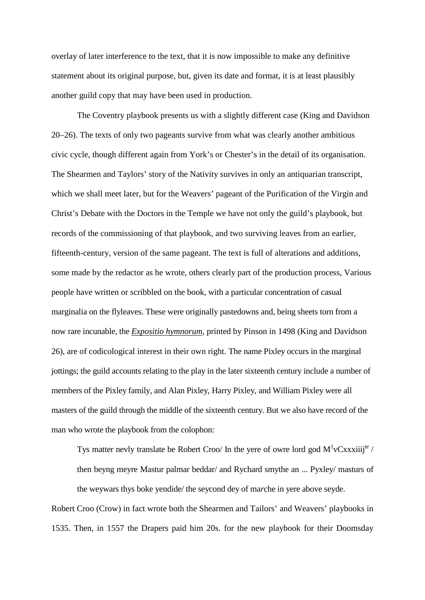overlay of later interference to the text, that it is now impossible to make any definitive statement about its original purpose, but, given its date and format, it is at least plausibly another guild copy that may have been used in production.

The Coventry playbook presents us with a slightly different case (King and Davidson 20–26). The texts of only two pageants survive from what was clearly another ambitious civic cycle, though different again from York's or Chester's in the detail of its organisation. The Shearmen and Taylors' story of the Nativity survives in only an antiquarian transcript, which we shall meet later, but for the Weavers' pageant of the Purification of the Virgin and Christ's Debate with the Doctors in the Temple we have not only the guild's playbook, but records of the commissioning of that playbook, and two surviving leaves from an earlier, fifteenth-century, version of the same pageant. The text is full of alterations and additions, some made by the redactor as he wrote, others clearly part of the production process, Various people have written or scribbled on the book, with a particular concentration of casual marginalia on the flyleaves. These were originally pastedowns and, being sheets torn from a now rare incunable, the *Expositio hymnorum*, printed by Pinson in 1498 (King and Davidson 26), are of codicological interest in their own right. The name Pixley occurs in the marginal jottings; the guild accounts relating to the play in the later sixteenth century include a number of members of the Pixley family, and Alan Pixley, Harry Pixley, and William Pixley were all masters of the guild through the middle of the sixteenth century. But we also have record of the man who wrote the playbook from the colophon:

Tys matter nevly translate be Robert Croo/ In the yere of owre lord god  $M^1vCxxxiiij^{te}$  / then beyng meyre Mastur palmar beddar/ and Rychard smythe an ... Pyxley/ masturs of the weywars thys boke yendide/ the seycond dey of ma*r*che in yere above seyde.

Robert Croo (Crow) in fact wrote both the Shearmen and Tailors' and Weavers' playbooks in 1535. Then, in 1557 the Drapers paid him 20s. for the new playbook for their Doomsday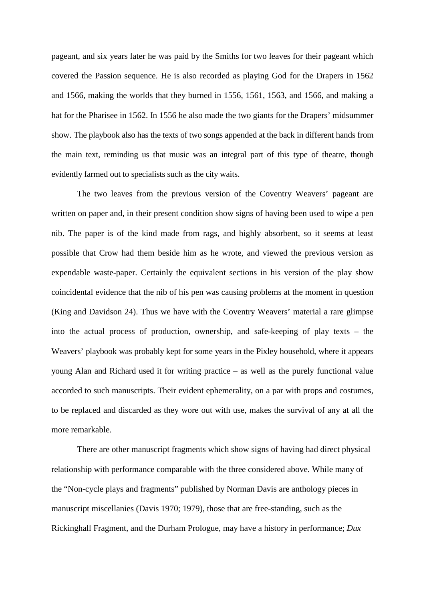pageant, and six years later he was paid by the Smiths for two leaves for their pageant which covered the Passion sequence. He is also recorded as playing God for the Drapers in 1562 and 1566, making the worlds that they burned in 1556, 1561, 1563, and 1566, and making a hat for the Pharisee in 1562. In 1556 he also made the two giants for the Drapers' midsummer show. The playbook also has the texts of two songs appended at the back in different hands from the main text, reminding us that music was an integral part of this type of theatre, though evidently farmed out to specialists such as the city waits.

The two leaves from the previous version of the Coventry Weavers' pageant are written on paper and, in their present condition show signs of having been used to wipe a pen nib. The paper is of the kind made from rags, and highly absorbent, so it seems at least possible that Crow had them beside him as he wrote, and viewed the previous version as expendable waste-paper. Certainly the equivalent sections in his version of the play show coincidental evidence that the nib of his pen was causing problems at the moment in question (King and Davidson 24). Thus we have with the Coventry Weavers' material a rare glimpse into the actual process of production, ownership, and safe-keeping of play texts – the Weavers' playbook was probably kept for some years in the Pixley household, where it appears young Alan and Richard used it for writing practice – as well as the purely functional value accorded to such manuscripts. Their evident ephemerality, on a par with props and costumes, to be replaced and discarded as they wore out with use, makes the survival of any at all the more remarkable.

There are other manuscript fragments which show signs of having had direct physical relationship with performance comparable with the three considered above. While many of the "Non-cycle plays and fragments" published by Norman Davis are anthology pieces in manuscript miscellanies (Davis 1970; 1979), those that are free-standing, such as the Rickinghall Fragment, and the Durham Prologue, may have a history in performance; *Dux*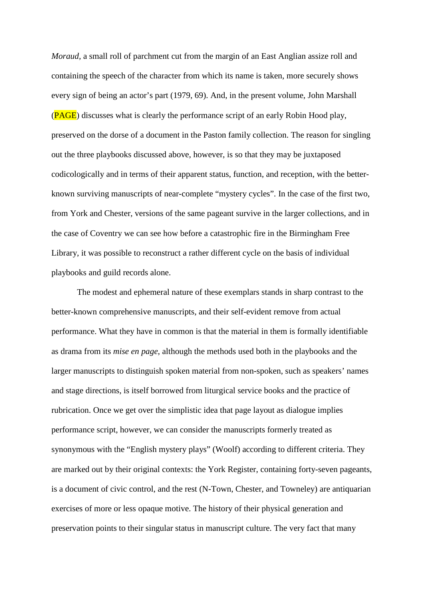*Moraud,* a small roll of parchment cut from the margin of an East Anglian assize roll and containing the speech of the character from which its name is taken, more securely shows every sign of being an actor's part (1979, 69). And, in the present volume, John Marshall (PAGE) discusses what is clearly the performance script of an early Robin Hood play, preserved on the dorse of a document in the Paston family collection. The reason for singling out the three playbooks discussed above, however, is so that they may be juxtaposed codicologically and in terms of their apparent status, function, and reception, with the betterknown surviving manuscripts of near-complete "mystery cycles". In the case of the first two, from York and Chester, versions of the same pageant survive in the larger collections, and in the case of Coventry we can see how before a catastrophic fire in the Birmingham Free Library, it was possible to reconstruct a rather different cycle on the basis of individual playbooks and guild records alone.

The modest and ephemeral nature of these exemplars stands in sharp contrast to the better-known comprehensive manuscripts, and their self-evident remove from actual performance. What they have in common is that the material in them is formally identifiable as drama from its *mise en page*, although the methods used both in the playbooks and the larger manuscripts to distinguish spoken material from non-spoken, such as speakers' names and stage directions, is itself borrowed from liturgical service books and the practice of rubrication. Once we get over the simplistic idea that page layout as dialogue implies performance script, however, we can consider the manuscripts formerly treated as synonymous with the "English mystery plays" (Woolf) according to different criteria. They are marked out by their original contexts: the York Register, containing forty-seven pageants, is a document of civic control, and the rest (N-Town, Chester, and Towneley) are antiquarian exercises of more or less opaque motive. The history of their physical generation and preservation points to their singular status in manuscript culture. The very fact that many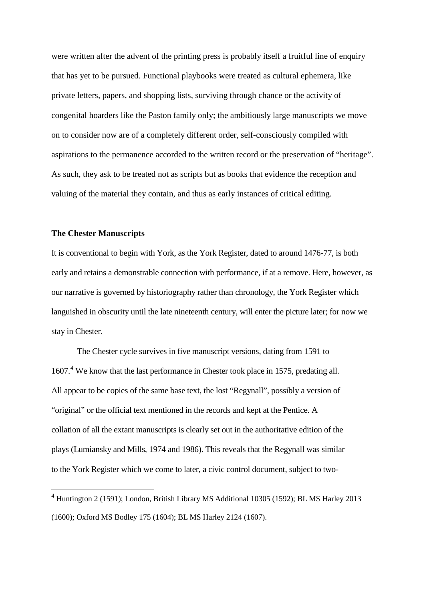were written after the advent of the printing press is probably itself a fruitful line of enquiry that has yet to be pursued. Functional playbooks were treated as cultural ephemera, like private letters, papers, and shopping lists, surviving through chance or the activity of congenital hoarders like the Paston family only; the ambitiously large manuscripts we move on to consider now are of a completely different order, self-consciously compiled with aspirations to the permanence accorded to the written record or the preservation of "heritage". As such, they ask to be treated not as scripts but as books that evidence the reception and valuing of the material they contain, and thus as early instances of critical editing.

#### **The Chester Manuscripts**

It is conventional to begin with York, as the York Register, dated to around 1476-77, is both early and retains a demonstrable connection with performance, if at a remove. Here, however, as our narrative is governed by historiography rather than chronology, the York Register which languished in obscurity until the late nineteenth century, will enter the picture later; for now we stay in Chester.

The Chester cycle survives in five manuscript versions, dating from 1591 to 1607.[4](#page-8-0) We know that the last performance in Chester took place in 1575, predating all. All appear to be copies of the same base text, the lost "Regynall", possibly a version of "original" or the official text mentioned in the records and kept at the Pentice. A collation of all the extant manuscripts is clearly set out in the authoritative edition of the plays (Lumiansky and Mills, 1974 and 1986). This reveals that the Regynall was similar to the York Register which we come to later, a civic control document, subject to two-

<span id="page-8-0"></span><sup>4</sup> Huntington 2 (1591); London, British Library MS Additional 10305 (1592); BL MS Harley 2013 (1600); Oxford MS Bodley 175 (1604); BL MS Harley 2124 (1607).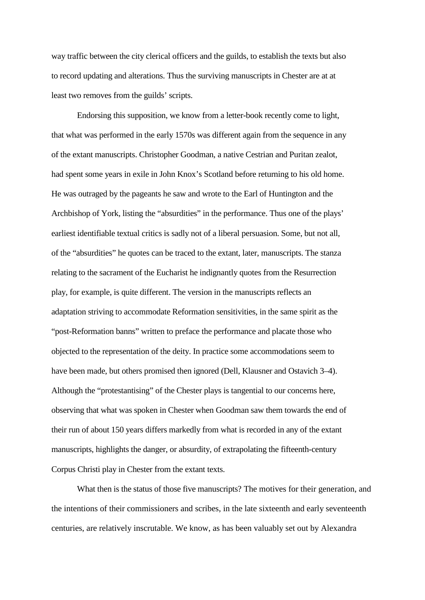way traffic between the city clerical officers and the guilds, to establish the texts but also to record updating and alterations. Thus the surviving manuscripts in Chester are at at least two removes from the guilds' scripts.

Endorsing this supposition, we know from a letter-book recently come to light, that what was performed in the early 1570s was different again from the sequence in any of the extant manuscripts. Christopher Goodman, a native Cestrian and Puritan zealot, had spent some years in exile in John Knox's Scotland before returning to his old home. He was outraged by the pageants he saw and wrote to the Earl of Huntington and the Archbishop of York, listing the "absurdities" in the performance. Thus one of the plays' earliest identifiable textual critics is sadly not of a liberal persuasion. Some, but not all, of the "absurdities" he quotes can be traced to the extant, later, manuscripts. The stanza relating to the sacrament of the Eucharist he indignantly quotes from the Resurrection play, for example, is quite different. The version in the manuscripts reflects an adaptation striving to accommodate Reformation sensitivities, in the same spirit as the "post-Reformation banns" written to preface the performance and placate those who objected to the representation of the deity. In practice some accommodations seem to have been made, but others promised then ignored (Dell, Klausner and Ostavich 3–4). Although the "protestantising" of the Chester plays is tangential to our concerns here, observing that what was spoken in Chester when Goodman saw them towards the end of their run of about 150 years differs markedly from what is recorded in any of the extant manuscripts, highlights the danger, or absurdity, of extrapolating the fifteenth-century Corpus Christi play in Chester from the extant texts.

What then is the status of those five manuscripts? The motives for their generation, and the intentions of their commissioners and scribes, in the late sixteenth and early seventeenth centuries, are relatively inscrutable. We know, as has been valuably set out by Alexandra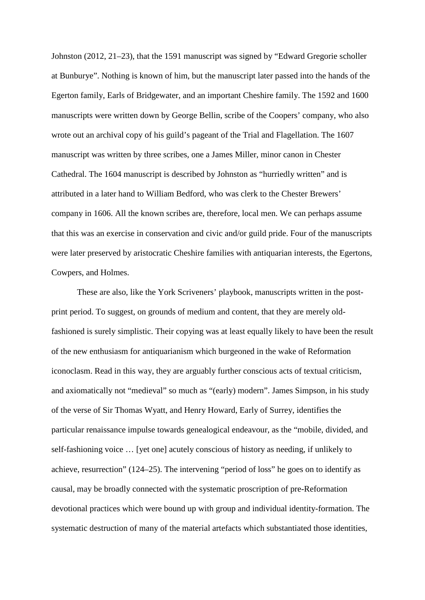Johnston (2012, 21–23), that the 1591 manuscript was signed by "Edward Gregorie scholler at Bunburye". Nothing is known of him, but the manuscript later passed into the hands of the Egerton family, Earls of Bridgewater, and an important Cheshire family. The 1592 and 1600 manuscripts were written down by George Bellin, scribe of the Coopers' company, who also wrote out an archival copy of his guild's pageant of the Trial and Flagellation. The 1607 manuscript was written by three scribes, one a James Miller, minor canon in Chester Cathedral. The 1604 manuscript is described by Johnston as "hurriedly written" and is attributed in a later hand to William Bedford, who was clerk to the Chester Brewers' company in 1606. All the known scribes are, therefore, local men. We can perhaps assume that this was an exercise in conservation and civic and/or guild pride. Four of the manuscripts were later preserved by aristocratic Cheshire families with antiquarian interests, the Egertons, Cowpers, and Holmes.

These are also, like the York Scriveners' playbook, manuscripts written in the postprint period. To suggest, on grounds of medium and content, that they are merely oldfashioned is surely simplistic. Their copying was at least equally likely to have been the result of the new enthusiasm for antiquarianism which burgeoned in the wake of Reformation iconoclasm. Read in this way, they are arguably further conscious acts of textual criticism, and axiomatically not "medieval" so much as "(early) modern". James Simpson, in his study of the verse of Sir Thomas Wyatt, and Henry Howard, Early of Surrey, identifies the particular renaissance impulse towards genealogical endeavour, as the "mobile, divided, and self-fashioning voice … [yet one] acutely conscious of history as needing, if unlikely to achieve, resurrection" (124–25). The intervening "period of loss" he goes on to identify as causal, may be broadly connected with the systematic proscription of pre-Reformation devotional practices which were bound up with group and individual identity-formation. The systematic destruction of many of the material artefacts which substantiated those identities,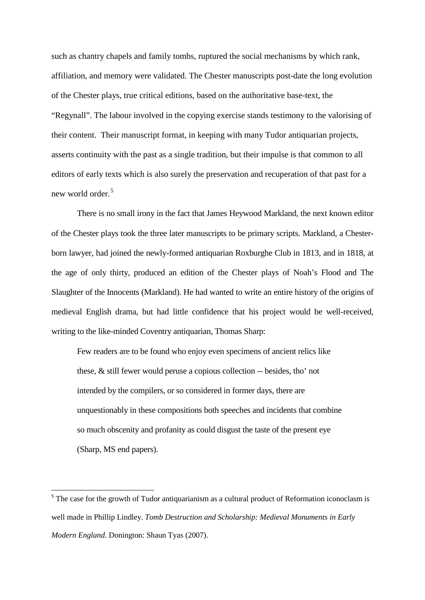such as chantry chapels and family tombs, ruptured the social mechanisms by which rank, affiliation, and memory were validated. The Chester manuscripts post-date the long evolution of the Chester plays, true critical editions, based on the authoritative base-text, the "Regynall". The labour involved in the copying exercise stands testimony to the valorising of their content. Their manuscript format, in keeping with many Tudor antiquarian projects, asserts continuity with the past as a single tradition, but their impulse is that common to all editors of early texts which is also surely the preservation and recuperation of that past for a new world order. [5](#page-11-0)

There is no small irony in the fact that James Heywood Markland, the next known editor of the Chester plays took the three later manuscripts to be primary scripts. Markland, a Chesterborn lawyer, had joined the newly-formed antiquarian Roxburghe Club in 1813, and in 1818, at the age of only thirty, produced an edition of the Chester plays of Noah's Flood and The Slaughter of the Innocents (Markland). He had wanted to write an entire history of the origins of medieval English drama, but had little confidence that his project would be well-received, writing to the like-minded Coventry antiquarian, Thomas Sharp:

Few readers are to be found who enjoy even specimens of ancient relics like these, & still fewer would peruse a copious collection -- besides, tho' not intended by the compilers, or so considered in former days, there are unquestionably in these compositions both speeches and incidents that combine so much obscenity and profanity as could disgust the taste of the present eye (Sharp, MS end papers).

<span id="page-11-0"></span><sup>&</sup>lt;sup>5</sup> The case for the growth of Tudor antiquarianism as a cultural product of Reformation iconoclasm is well made in Phillip Lindley. *Tomb Destruction and Scholarship: Medieval Monuments in Early Modern England*. Donington: Shaun Tyas (2007).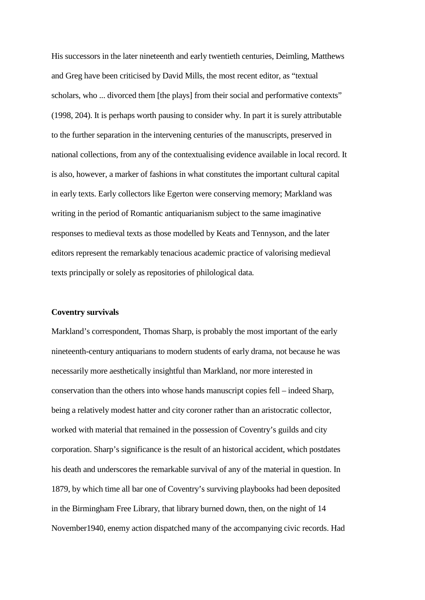His successors in the later nineteenth and early twentieth centuries, Deimling, Matthews and Greg have been criticised by David Mills, the most recent editor, as "textual scholars, who ... divorced them [the plays] from their social and performative contexts" (1998, 204). It is perhaps worth pausing to consider why. In part it is surely attributable to the further separation in the intervening centuries of the manuscripts, preserved in national collections, from any of the contextualising evidence available in local record. It is also, however, a marker of fashions in what constitutes the important cultural capital in early texts. Early collectors like Egerton were conserving memory; Markland was writing in the period of Romantic antiquarianism subject to the same imaginative responses to medieval texts as those modelled by Keats and Tennyson, and the later editors represent the remarkably tenacious academic practice of valorising medieval texts principally or solely as repositories of philological data.

#### **Coventry survivals**

Markland's correspondent, Thomas Sharp, is probably the most important of the early nineteenth-century antiquarians to modern students of early drama, not because he was necessarily more aesthetically insightful than Markland, nor more interested in conservation than the others into whose hands manuscript copies fell – indeed Sharp, being a relatively modest hatter and city coroner rather than an aristocratic collector, worked with material that remained in the possession of Coventry's guilds and city corporation. Sharp's significance is the result of an historical accident, which postdates his death and underscores the remarkable survival of any of the material in question. In 1879, by which time all bar one of Coventry's surviving playbooks had been deposited in the Birmingham Free Library, that library burned down, then, on the night of 14 November1940, enemy action dispatched many of the accompanying civic records. Had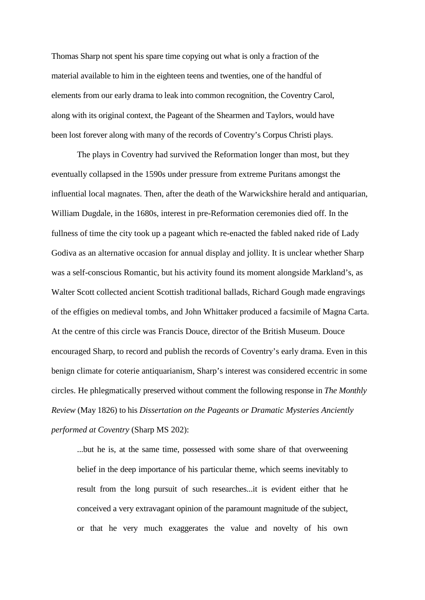Thomas Sharp not spent his spare time copying out what is only a fraction of the material available to him in the eighteen teens and twenties, one of the handful of elements from our early drama to leak into common recognition, the Coventry Carol, along with its original context, the Pageant of the Shearmen and Taylors, would have been lost forever along with many of the records of Coventry's Corpus Christi plays.

The plays in Coventry had survived the Reformation longer than most, but they eventually collapsed in the 1590s under pressure from extreme Puritans amongst the influential local magnates. Then, after the death of the Warwickshire herald and antiquarian, William Dugdale, in the 1680s, interest in pre-Reformation ceremonies died off. In the fullness of time the city took up a pageant which re-enacted the fabled naked ride of Lady Godiva as an alternative occasion for annual display and jollity. It is unclear whether Sharp was a self-conscious Romantic, but his activity found its moment alongside Markland's, as Walter Scott collected ancient Scottish traditional ballads, Richard Gough made engravings of the effigies on medieval tombs, and John Whittaker produced a facsimile of Magna Carta. At the centre of this circle was Francis Douce, director of the British Museum. Douce encouraged Sharp, to record and publish the records of Coventry's early drama. Even in this benign climate for coterie antiquarianism, Sharp's interest was considered eccentric in some circles. He phlegmatically preserved without comment the following response in *The Monthly Review* (May 1826) to his *Dissertation on the Pageants or Dramatic Mysteries Anciently performed at Coventry* (Sharp MS 202):

...but he is, at the same time, possessed with some share of that overweening belief in the deep importance of his particular theme, which seems inevitably to result from the long pursuit of such researches...it is evident either that he conceived a very extravagant opinion of the paramount magnitude of the subject, or that he very much exaggerates the value and novelty of his own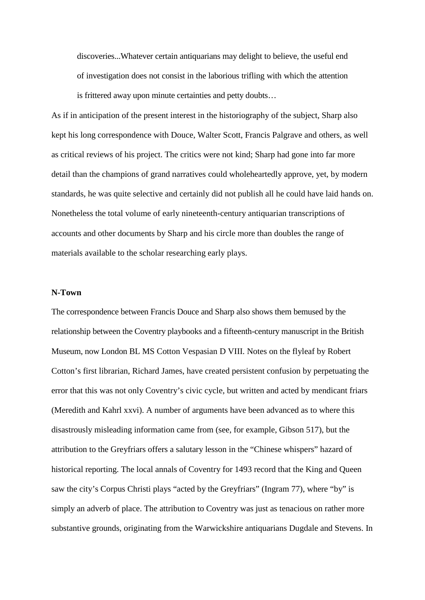discoveries...Whatever certain antiquarians may delight to believe, the useful end of investigation does not consist in the laborious trifling with which the attention is frittered away upon minute certainties and petty doubts…

As if in anticipation of the present interest in the historiography of the subject, Sharp also kept his long correspondence with Douce, Walter Scott, Francis Palgrave and others, as well as critical reviews of his project. The critics were not kind; Sharp had gone into far more detail than the champions of grand narratives could wholeheartedly approve, yet, by modern standards, he was quite selective and certainly did not publish all he could have laid hands on. Nonetheless the total volume of early nineteenth-century antiquarian transcriptions of accounts and other documents by Sharp and his circle more than doubles the range of materials available to the scholar researching early plays.

## **N-Town**

The correspondence between Francis Douce and Sharp also shows them bemused by the relationship between the Coventry playbooks and a fifteenth-century manuscript in the British Museum, now London BL MS Cotton Vespasian D VIII. Notes on the flyleaf by Robert Cotton's first librarian, Richard James, have created persistent confusion by perpetuating the error that this was not only Coventry's civic cycle, but written and acted by mendicant friars (Meredith and Kahrl xxvi). A number of arguments have been advanced as to where this disastrously misleading information came from (see, for example, Gibson 517), but the attribution to the Greyfriars offers a salutary lesson in the "Chinese whispers" hazard of historical reporting. The local annals of Coventry for 1493 record that the King and Queen saw the city's Corpus Christi plays "acted by the Greyfriars" (Ingram 77), where "by" is simply an adverb of place. The attribution to Coventry was just as tenacious on rather more substantive grounds, originating from the Warwickshire antiquarians Dugdale and Stevens. In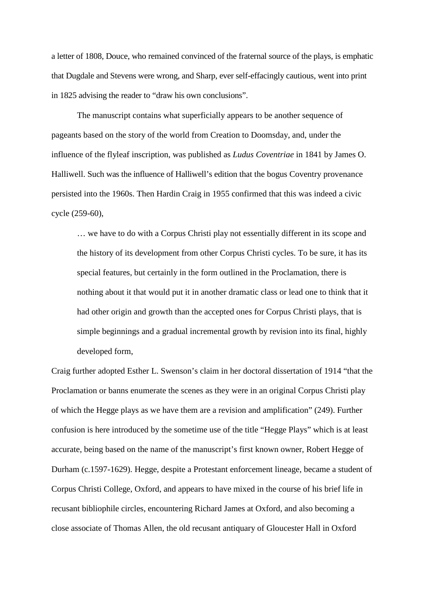a letter of 1808, Douce, who remained convinced of the fraternal source of the plays, is emphatic that Dugdale and Stevens were wrong, and Sharp, ever self-effacingly cautious, went into print in 1825 advising the reader to "draw his own conclusions".

The manuscript contains what superficially appears to be another sequence of pageants based on the story of the world from Creation to Doomsday, and, under the influence of the flyleaf inscription, was published as *Ludus Coventriae* in 1841 by James O. Halliwell. Such was the influence of Halliwell's edition that the bogus Coventry provenance persisted into the 1960s. Then Hardin Craig in 1955 confirmed that this was indeed a civic cycle (259-60),

… we have to do with a Corpus Christi play not essentially different in its scope and the history of its development from other Corpus Christi cycles. To be sure, it has its special features, but certainly in the form outlined in the Proclamation, there is nothing about it that would put it in another dramatic class or lead one to think that it had other origin and growth than the accepted ones for Corpus Christi plays, that is simple beginnings and a gradual incremental growth by revision into its final, highly developed form,

Craig further adopted Esther L. Swenson's claim in her doctoral dissertation of 1914 "that the Proclamation or banns enumerate the scenes as they were in an original Corpus Christi play of which the Hegge plays as we have them are a revision and amplification" (249). Further confusion is here introduced by the sometime use of the title "Hegge Plays" which is at least accurate, being based on the name of the manuscript's first known owner, Robert Hegge of Durham (c.1597-1629). Hegge, despite a Protestant enforcement lineage, became a student of Corpus Christi College, Oxford, and appears to have mixed in the course of his brief life in recusant bibliophile circles, encountering Richard James at Oxford, and also becoming a close associate of Thomas Allen, the old recusant antiquary of Gloucester Hall in Oxford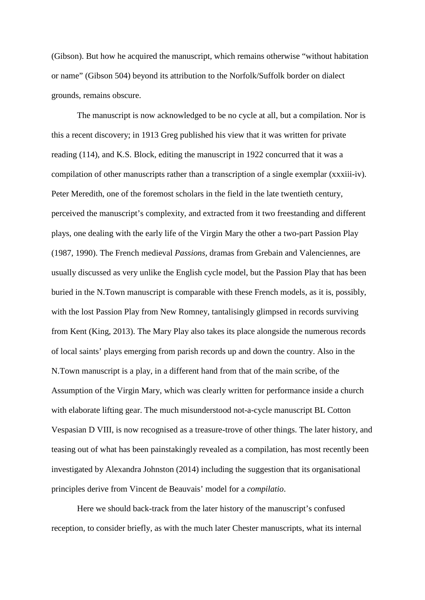(Gibson). But how he acquired the manuscript, which remains otherwise "without habitation or name" (Gibson 504) beyond its attribution to the Norfolk/Suffolk border on dialect grounds, remains obscure.

The manuscript is now acknowledged to be no cycle at all, but a compilation. Nor is this a recent discovery; in 1913 Greg published his view that it was written for private reading (114), and K.S. Block, editing the manuscript in 1922 concurred that it was a compilation of other manuscripts rather than a transcription of a single exemplar (xxxiii-iv). Peter Meredith, one of the foremost scholars in the field in the late twentieth century, perceived the manuscript's complexity, and extracted from it two freestanding and different plays, one dealing with the early life of the Virgin Mary the other a two-part Passion Play (1987, 1990). The French medieval *Passions,* dramas from Grebain and Valenciennes, are usually discussed as very unlike the English cycle model, but the Passion Play that has been buried in the N.Town manuscript is comparable with these French models, as it is, possibly, with the lost Passion Play from New Romney, tantalisingly glimpsed in records surviving from Kent (King, 2013). The Mary Play also takes its place alongside the numerous records of local saints' plays emerging from parish records up and down the country. Also in the N.Town manuscript is a play, in a different hand from that of the main scribe, of the Assumption of the Virgin Mary, which was clearly written for performance inside a church with elaborate lifting gear. The much misunderstood not-a-cycle manuscript BL Cotton Vespasian D VIII, is now recognised as a treasure-trove of other things. The later history, and teasing out of what has been painstakingly revealed as a compilation, has most recently been investigated by Alexandra Johnston (2014) including the suggestion that its organisational principles derive from Vincent de Beauvais' model for a *compilatio*.

Here we should back-track from the later history of the manuscript's confused reception, to consider briefly, as with the much later Chester manuscripts, what its internal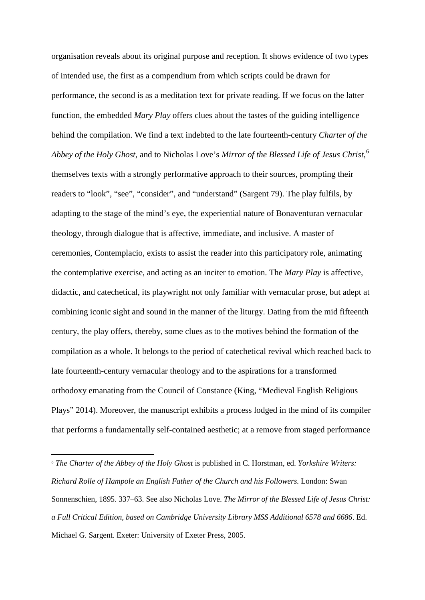organisation reveals about its original purpose and reception. It shows evidence of two types of intended use, the first as a compendium from which scripts could be drawn for performance, the second is as a meditation text for private reading. If we focus on the latter function, the embedded *Mary Play* offers clues about the tastes of the guiding intelligence behind the compilation. We find a text indebted to the late fourteenth-century *Charter of the Abbey of the Holy Ghost*, and to Nicholas Love's *Mirror of the Blessed Life of Jesus Christ*, [6](#page-17-0) themselves texts with a strongly performative approach to their sources, prompting their readers to "look", "see", "consider", and "understand" (Sargent 79). The play fulfils, by adapting to the stage of the mind's eye, the experiential nature of Bonaventuran vernacular theology, through dialogue that is affective, immediate, and inclusive. A master of ceremonies, Contemplacio, exists to assist the reader into this participatory role, animating the contemplative exercise, and acting as an inciter to emotion. The *Mary Play* is affective, didactic, and catechetical, its playwright not only familiar with vernacular prose, but adept at combining iconic sight and sound in the manner of the liturgy. Dating from the mid fifteenth century, the play offers, thereby, some clues as to the motives behind the formation of the compilation as a whole. It belongs to the period of catechetical revival which reached back to late fourteenth-century vernacular theology and to the aspirations for a transformed orthodoxy emanating from the Council of Constance (King, "Medieval English Religious Plays" 2014). Moreover, the manuscript exhibits a process lodged in the mind of its compiler that performs a fundamentally self-contained aesthetic; at a remove from staged performance

**.** 

<span id="page-17-0"></span><sup>6</sup> *The Charter of the Abbey of the Holy Ghost* is published in C. Horstman, ed. *Yorkshire Writers: Richard Rolle of Hampole an English Father of the Church and his Followers.* London: Swan Sonnenschien, 1895. 337–63. See also Nicholas Love. *The Mirror of the Blessed Life of Jesus Christ: a Full Critical Edition, based on Cambridge University Library MSS Additional 6578 and 6686*. Ed. Michael G. Sargent. Exeter: University of Exeter Press, 2005.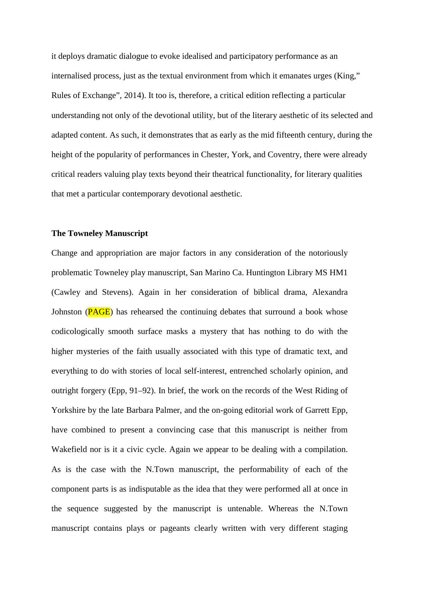it deploys dramatic dialogue to evoke idealised and participatory performance as an internalised process, just as the textual environment from which it emanates urges (King," Rules of Exchange", 2014). It too is, therefore, a critical edition reflecting a particular understanding not only of the devotional utility, but of the literary aesthetic of its selected and adapted content. As such, it demonstrates that as early as the mid fifteenth century, during the height of the popularity of performances in Chester, York, and Coventry, there were already critical readers valuing play texts beyond their theatrical functionality, for literary qualities that met a particular contemporary devotional aesthetic.

## **The Towneley Manuscript**

Change and appropriation are major factors in any consideration of the notoriously problematic Towneley play manuscript, San Marino Ca. Huntington Library MS HM1 (Cawley and Stevens). Again in her consideration of biblical drama, Alexandra Johnston (PAGE) has rehearsed the continuing debates that surround a book whose codicologically smooth surface masks a mystery that has nothing to do with the higher mysteries of the faith usually associated with this type of dramatic text, and everything to do with stories of local self-interest, entrenched scholarly opinion, and outright forgery (Epp, 91–92). In brief, the work on the records of the West Riding of Yorkshire by the late Barbara Palmer, and the on-going editorial work of Garrett Epp, have combined to present a convincing case that this manuscript is neither from Wakefield nor is it a civic cycle. Again we appear to be dealing with a compilation. As is the case with the N.Town manuscript, the performability of each of the component parts is as indisputable as the idea that they were performed all at once in the sequence suggested by the manuscript is untenable. Whereas the N.Town manuscript contains plays or pageants clearly written with very different staging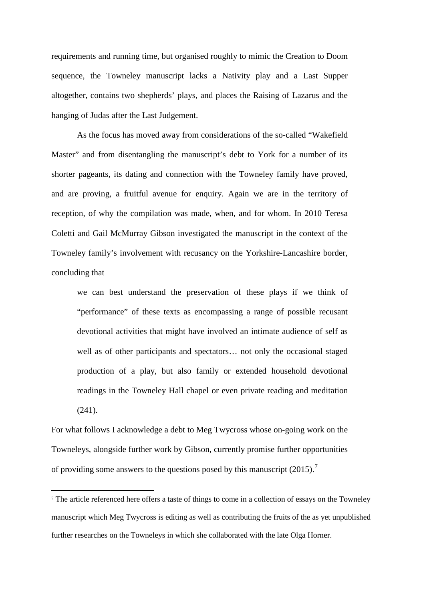requirements and running time, but organised roughly to mimic the Creation to Doom sequence, the Towneley manuscript lacks a Nativity play and a Last Supper altogether, contains two shepherds' plays, and places the Raising of Lazarus and the hanging of Judas after the Last Judgement.

As the focus has moved away from considerations of the so-called "Wakefield Master" and from disentangling the manuscript's debt to York for a number of its shorter pageants, its dating and connection with the Towneley family have proved, and are proving, a fruitful avenue for enquiry. Again we are in the territory of reception, of why the compilation was made, when, and for whom. In 2010 Teresa Coletti and Gail McMurray Gibson investigated the manuscript in the context of the Towneley family's involvement with recusancy on the Yorkshire-Lancashire border, concluding that

we can best understand the preservation of these plays if we think of "performance" of these texts as encompassing a range of possible recusant devotional activities that might have involved an intimate audience of self as well as of other participants and spectators… not only the occasional staged production of a play, but also family or extended household devotional readings in the Towneley Hall chapel or even private reading and meditation (241).

For what follows I acknowledge a debt to Meg Twycross whose on-going work on the Towneleys, alongside further work by Gibson, currently promise further opportunities of providing some answers to the questions posed by this manuscript (2015).[7](#page-19-0)

**.** 

<span id="page-19-0"></span><sup>7</sup> The article referenced here offers a taste of things to come in a collection of essays on the Towneley manuscript which Meg Twycross is editing as well as contributing the fruits of the as yet unpublished further researches on the Towneleys in which she collaborated with the late Olga Horner.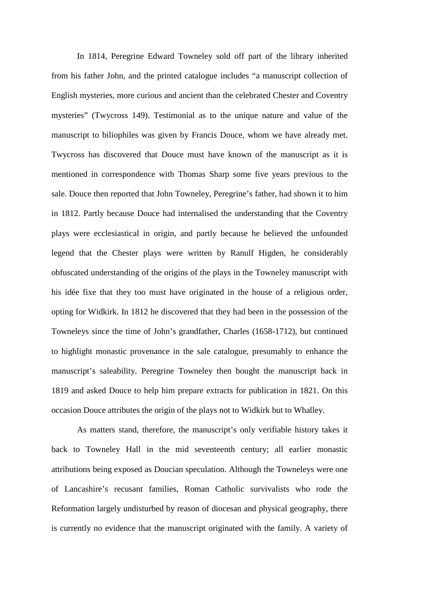In 1814, Peregrine Edward Towneley sold off part of the library inherited from his father John, and the printed catalogue includes "a manuscript collection of English mysteries, more curious and ancient than the celebrated Chester and Coventry mysteries" (Twycross 149). Testimonial as to the unique nature and value of the manuscript to biliophiles was given by Francis Douce, whom we have already met. Twycross has discovered that Douce must have known of the manuscript as it is mentioned in correspondence with Thomas Sharp some five years previous to the sale. Douce then reported that John Towneley, Peregrine's father, had shown it to him in 1812. Partly because Douce had internalised the understanding that the Coventry plays were ecclesiastical in origin, and partly because he believed the unfounded legend that the Chester plays were written by Ranulf Higden, he considerably obfuscated understanding of the origins of the plays in the Towneley manuscript with his idée fixe that they too must have originated in the house of a religious order, opting for Widkirk. In 1812 he discovered that they had been in the possession of the Towneleys since the time of John's grandfather, Charles (1658-1712), but continued to highlight monastic provenance in the sale catalogue, presumably to enhance the manuscript's saleability. Peregrine Towneley then bought the manuscript back in 1819 and asked Douce to help him prepare extracts for publication in 1821. On this occasion Douce attributes the origin of the plays not to Widkirk but to Whalley.

As matters stand, therefore, the manuscript's only verifiable history takes it back to Towneley Hall in the mid seventeenth century; all earlier monastic attributions being exposed as Doucian speculation. Although the Towneleys were one of Lancashire's recusant families, Roman Catholic survivalists who rode the Reformation largely undisturbed by reason of diocesan and physical geography, there is currently no evidence that the manuscript originated with the family. A variety of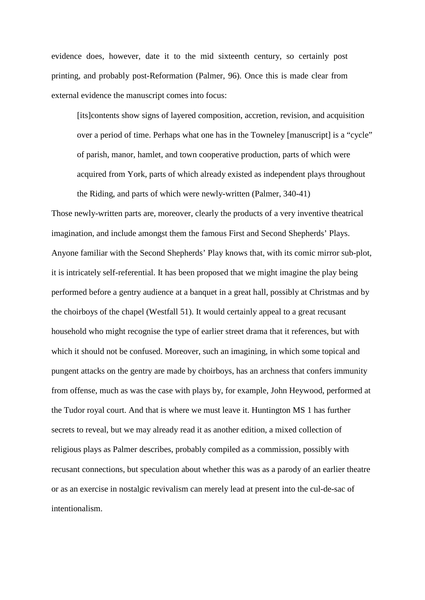evidence does, however, date it to the mid sixteenth century, so certainly post printing, and probably post-Reformation (Palmer, 96). Once this is made clear from external evidence the manuscript comes into focus:

[its]contents show signs of layered composition, accretion, revision, and acquisition over a period of time. Perhaps what one has in the Towneley [manuscript] is a "cycle" of parish, manor, hamlet, and town cooperative production, parts of which were acquired from York, parts of which already existed as independent plays throughout the Riding, and parts of which were newly-written (Palmer, 340-41)

Those newly-written parts are, moreover, clearly the products of a very inventive theatrical imagination, and include amongst them the famous First and Second Shepherds' Plays. Anyone familiar with the Second Shepherds' Play knows that, with its comic mirror sub-plot, it is intricately self-referential. It has been proposed that we might imagine the play being performed before a gentry audience at a banquet in a great hall, possibly at Christmas and by the choirboys of the chapel (Westfall 51). It would certainly appeal to a great recusant household who might recognise the type of earlier street drama that it references, but with which it should not be confused. Moreover, such an imagining, in which some topical and pungent attacks on the gentry are made by choirboys, has an archness that confers immunity from offense, much as was the case with plays by, for example, John Heywood, performed at the Tudor royal court. And that is where we must leave it. Huntington MS 1 has further secrets to reveal, but we may already read it as another edition, a mixed collection of religious plays as Palmer describes, probably compiled as a commission, possibly with recusant connections, but speculation about whether this was as a parody of an earlier theatre or as an exercise in nostalgic revivalism can merely lead at present into the cul-de-sac of intentionalism.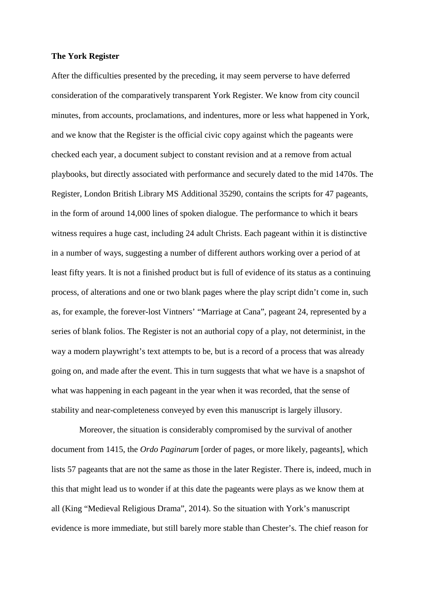## **The York Register**

After the difficulties presented by the preceding, it may seem perverse to have deferred consideration of the comparatively transparent York Register. We know from city council minutes, from accounts, proclamations, and indentures, more or less what happened in York, and we know that the Register is the official civic copy against which the pageants were checked each year, a document subject to constant revision and at a remove from actual playbooks, but directly associated with performance and securely dated to the mid 1470s. The Register, London British Library MS Additional 35290, contains the scripts for 47 pageants, in the form of around 14,000 lines of spoken dialogue. The performance to which it bears witness requires a huge cast, including 24 adult Christs. Each pageant within it is distinctive in a number of ways, suggesting a number of different authors working over a period of at least fifty years. It is not a finished product but is full of evidence of its status as a continuing process, of alterations and one or two blank pages where the play script didn't come in, such as, for example, the forever-lost Vintners' "Marriage at Cana", pageant 24, represented by a series of blank folios. The Register is not an authorial copy of a play, not determinist, in the way a modern playwright's text attempts to be, but is a record of a process that was already going on, and made after the event. This in turn suggests that what we have is a snapshot of what was happening in each pageant in the year when it was recorded, that the sense of stability and near-completeness conveyed by even this manuscript is largely illusory.

Moreover, the situation is considerably compromised by the survival of another document from 1415, the *Ordo Paginarum* [order of pages, or more likely, pageants], which lists 57 pageants that are not the same as those in the later Register. There is, indeed, much in this that might lead us to wonder if at this date the pageants were plays as we know them at all (King "Medieval Religious Drama", 2014). So the situation with York's manuscript evidence is more immediate, but still barely more stable than Chester's. The chief reason for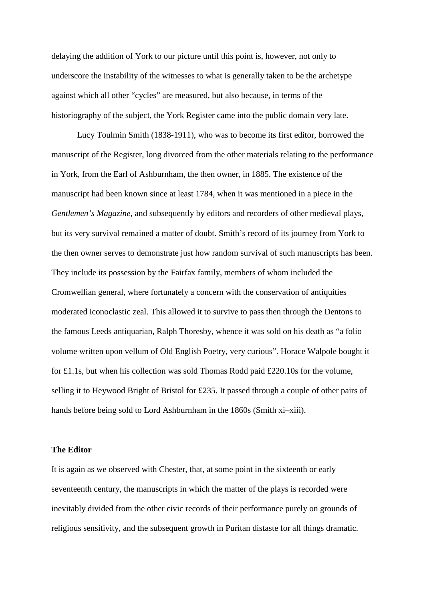delaying the addition of York to our picture until this point is, however, not only to underscore the instability of the witnesses to what is generally taken to be the archetype against which all other "cycles" are measured, but also because, in terms of the historiography of the subject, the York Register came into the public domain very late.

Lucy Toulmin Smith (1838-1911), who was to become its first editor, borrowed the manuscript of the Register, long divorced from the other materials relating to the performance in York, from the Earl of Ashburnham, the then owner, in 1885. The existence of the manuscript had been known since at least 1784, when it was mentioned in a piece in the *Gentlemen's Magazine*, and subsequently by editors and recorders of other medieval plays, but its very survival remained a matter of doubt. Smith's record of its journey from York to the then owner serves to demonstrate just how random survival of such manuscripts has been. They include its possession by the Fairfax family, members of whom included the Cromwellian general, where fortunately a concern with the conservation of antiquities moderated iconoclastic zeal. This allowed it to survive to pass then through the Dentons to the famous Leeds antiquarian, Ralph Thoresby, whence it was sold on his death as "a folio volume written upon vellum of Old English Poetry, very curious". Horace Walpole bought it for £1.1s, but when his collection was sold Thomas Rodd paid £220.10s for the volume, selling it to Heywood Bright of Bristol for £235. It passed through a couple of other pairs of hands before being sold to Lord Ashburnham in the 1860s (Smith xi–xiii).

#### **The Editor**

It is again as we observed with Chester, that, at some point in the sixteenth or early seventeenth century, the manuscripts in which the matter of the plays is recorded were inevitably divided from the other civic records of their performance purely on grounds of religious sensitivity, and the subsequent growth in Puritan distaste for all things dramatic.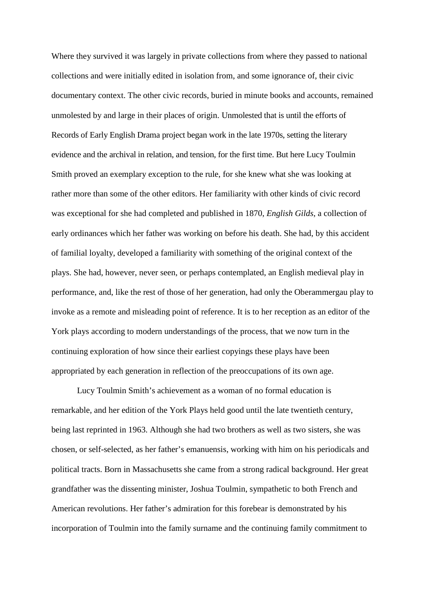Where they survived it was largely in private collections from where they passed to national collections and were initially edited in isolation from, and some ignorance of, their civic documentary context. The other civic records, buried in minute books and accounts, remained unmolested by and large in their places of origin. Unmolested that is until the efforts of Records of Early English Drama project began work in the late 1970s, setting the literary evidence and the archival in relation, and tension, for the first time. But here Lucy Toulmin Smith proved an exemplary exception to the rule, for she knew what she was looking at rather more than some of the other editors. Her familiarity with other kinds of civic record was exceptional for she had completed and published in 1870, *[English Gilds](http://orlando.cambridge.org.ezproxy.lib.gla.ac.uk/protected/wheel?src_ref=smitlu-w.sgm&doc_type=0&&t=2:3)*, a collection of early ordinances which her father was working on before his death. She had, by this accident of familial loyalty, developed a familiarity with something of the original context of the plays. She had, however, never seen, or perhaps contemplated, an English medieval play in performance, and, like the rest of those of her generation, had only the Oberammergau play to invoke as a remote and misleading point of reference. It is to her reception as an editor of the York plays according to modern understandings of the process, that we now turn in the continuing exploration of how since their earliest copyings these plays have been appropriated by each generation in reflection of the preoccupations of its own age.

Lucy Toulmin Smith's achievement as a woman of no formal education is remarkable, and her edition of the York Plays held good until the late twentieth century, being last reprinted in 1963. Although she had two brothers as well as two sisters, she was chosen, or self-selected, as her father's emanuensis, working with him on his periodicals and political tracts. Born in Massachusetts she came from a strong radical background. Her great grandfather was the dissenting minister, Joshua Toulmin, sympathetic to both French and American revolutions. Her father's admiration for this forebear is demonstrated by his incorporation of Toulmin into the family surname and the continuing family commitment to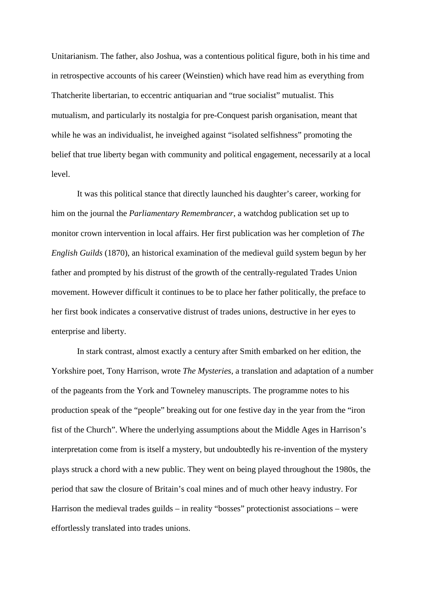Unitarianism. The father, also Joshua, was a contentious political figure, both in his time and in retrospective accounts of his career (Weinstien) which have read him as everything from Thatcherite libertarian, to eccentric antiquarian and "true socialist" mutualist. This mutualism, and particularly its nostalgia for pre-Conquest parish organisation, meant that while he was an individualist, he inveighed against "isolated selfishness" promoting the belief that true liberty began with community and political engagement, necessarily at a local level.

It was this political stance that directly launched his daughter's career, working for him on the journal the *Parliamentary Remembrancer*, a watchdog publication set up to monitor crown intervention in local affairs. Her first publication was her completion of *The English Guilds* (1870), an historical examination of the medieval guild system begun by her father and prompted by his distrust of the growth of the centrally-regulated Trades Union movement. However difficult it continues to be to place her father politically, the preface to her first book indicates a conservative distrust of trades unions, destructive in her eyes to enterprise and liberty.

In stark contrast, almost exactly a century after Smith embarked on her edition, the Yorkshire poet, Tony Harrison, wrote *The Mysteries*, a translation and adaptation of a number of the pageants from the York and Towneley manuscripts. The programme notes to his production speak of the "people" breaking out for one festive day in the year from the "iron fist of the Church". Where the underlying assumptions about the Middle Ages in Harrison's interpretation come from is itself a mystery, but undoubtedly his re-invention of the mystery plays struck a chord with a new public. They went on being played throughout the 1980s, the period that saw the closure of Britain's coal mines and of much other heavy industry. For Harrison the medieval trades guilds – in reality "bosses" protectionist associations – were effortlessly translated into trades unions.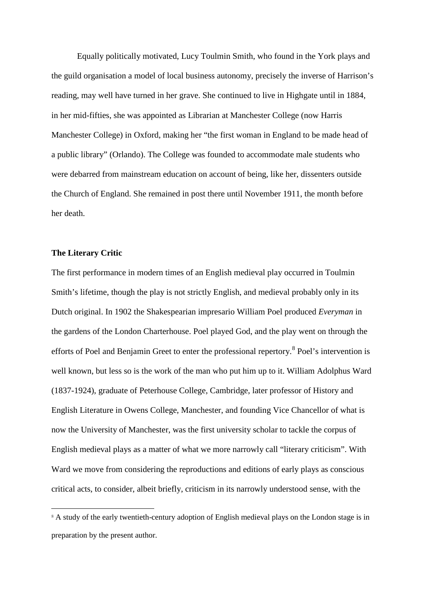Equally politically motivated, Lucy Toulmin Smith, who found in the York plays and the guild organisation a model of local business autonomy, precisely the inverse of Harrison's reading, may well have turned in her grave. She continued to live in Highgate until in 1884, in her mid-fifties, she was appointed as Librarian at Manchester College (now Harris Manchester College) in Oxford, making her "the first woman in England to be made head of a public library" (Orlando). The College was founded to accommodate male students who were debarred from mainstream education on account of being, like her, dissenters outside the Church of England. She remained in post there until November 1911, the month before her death.

# **The Literary Critic**

1

The first performance in modern times of an English medieval play occurred in Toulmin Smith's lifetime, though the play is not strictly English, and medieval probably only in its Dutch original. In 1902 the Shakespearian impresario William Poel produced *Everyman* in the gardens of the London Charterhouse. Poel played God, and the play went on through the efforts of Poel and Benjamin Greet to enter the professional repertory.<sup>[8](#page-26-0)</sup> Poel's intervention is well known, but less so is the work of the man who put him up to it. William Adolphus Ward (1837-1924), graduate of Peterhouse College, Cambridge, later professor of History and English Literature in Owens College, Manchester, and founding Vice Chancellor of what is now the University of Manchester, was the first university scholar to tackle the corpus of English medieval plays as a matter of what we more narrowly call "literary criticism". With Ward we move from considering the reproductions and editions of early plays as conscious critical acts, to consider, albeit briefly, criticism in its narrowly understood sense, with the

<span id="page-26-0"></span><sup>&</sup>lt;sup>8</sup> A study of the early twentieth-century adoption of English medieval plays on the London stage is in preparation by the present author.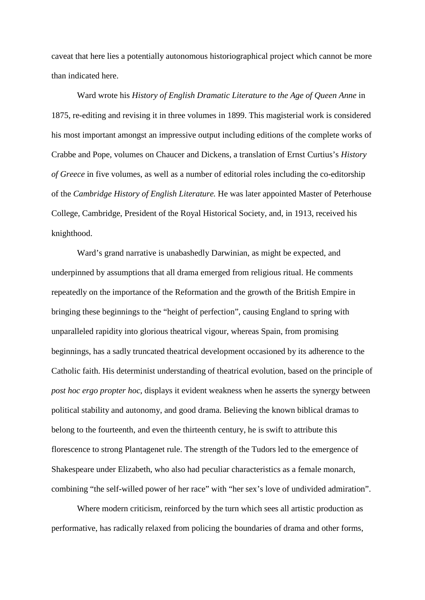caveat that here lies a potentially autonomous historiographical project which cannot be more than indicated here.

Ward wrote his *History of English Dramatic Literature to the Age of Queen Anne* in 1875, re-editing and revising it in three volumes in 1899. This magisterial work is considered his most important amongst an impressive output including editions of the complete works of Crabbe and Pope, volumes on Chaucer and Dickens, a translation of Ernst Curtius's *History of Greece* in five volumes, as well as a number of editorial roles including the co-editorship of the *Cambridge History of English Literature.* He was later appointed Master of Peterhouse College, Cambridge, President of the Royal Historical Society, and, in 1913, received his knighthood.

Ward's grand narrative is unabashedly Darwinian, as might be expected, and underpinned by assumptions that all drama emerged from religious ritual. He comments repeatedly on the importance of the Reformation and the growth of the British Empire in bringing these beginnings to the "height of perfection", causing England to spring with unparalleled rapidity into glorious theatrical vigour, whereas Spain, from promising beginnings, has a sadly truncated theatrical development occasioned by its adherence to the Catholic faith. His determinist understanding of theatrical evolution, based on the principle of *post hoc ergo propter hoc*, displays it evident weakness when he asserts the synergy between political stability and autonomy, and good drama. Believing the known biblical dramas to belong to the fourteenth, and even the thirteenth century, he is swift to attribute this florescence to strong Plantagenet rule. The strength of the Tudors led to the emergence of Shakespeare under Elizabeth, who also had peculiar characteristics as a female monarch, combining "the self-willed power of her race" with "her sex's love of undivided admiration".

Where modern criticism, reinforced by the turn which sees all artistic production as performative, has radically relaxed from policing the boundaries of drama and other forms,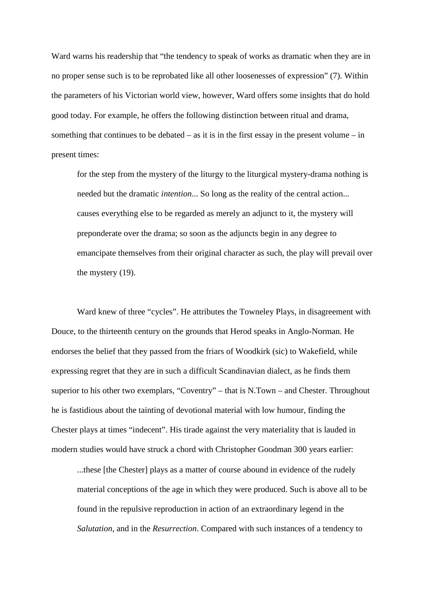Ward warns his readership that "the tendency to speak of works as dramatic when they are in no proper sense such is to be reprobated like all other loosenesses of expression" (7). Within the parameters of his Victorian world view, however, Ward offers some insights that do hold good today. For example, he offers the following distinction between ritual and drama, something that continues to be debated – as it is in the first essay in the present volume – in present times:

for the step from the mystery of the liturgy to the liturgical mystery-drama nothing is needed but the dramatic *intention*... So long as the reality of the central action... causes everything else to be regarded as merely an adjunct to it, the mystery will preponderate over the drama; so soon as the adjuncts begin in any degree to emancipate themselves from their original character as such, the play will prevail over the mystery (19).

Ward knew of three "cycles". He attributes the Towneley Plays, in disagreement with Douce, to the thirteenth century on the grounds that Herod speaks in Anglo-Norman. He endorses the belief that they passed from the friars of Woodkirk (sic) to Wakefield, while expressing regret that they are in such a difficult Scandinavian dialect, as he finds them superior to his other two exemplars, "Coventry" – that is N.Town – and Chester. Throughout he is fastidious about the tainting of devotional material with low humour, finding the Chester plays at times "indecent". His tirade against the very materiality that is lauded in modern studies would have struck a chord with Christopher Goodman 300 years earlier:

...these [the Chester] plays as a matter of course abound in evidence of the rudely material conceptions of the age in which they were produced. Such is above all to be found in the repulsive reproduction in action of an extraordinary legend in the *Salutation*, and in the *Resurrection*. Compared with such instances of a tendency to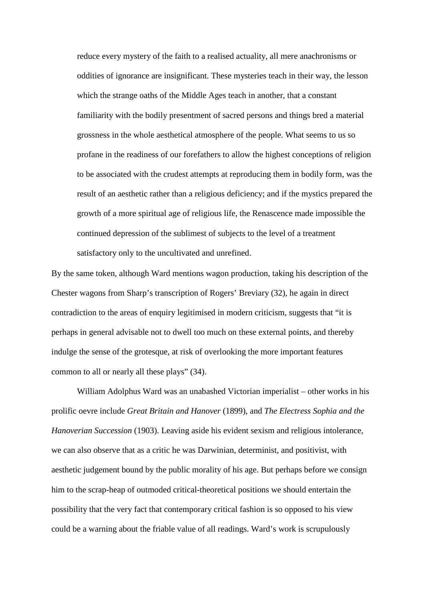reduce every mystery of the faith to a realised actuality, all mere anachronisms or oddities of ignorance are insignificant. These mysteries teach in their way, the lesson which the strange oaths of the Middle Ages teach in another, that a constant familiarity with the bodily presentment of sacred persons and things bred a material grossness in the whole aesthetical atmosphere of the people. What seems to us so profane in the readiness of our forefathers to allow the highest conceptions of religion to be associated with the crudest attempts at reproducing them in bodily form, was the result of an aesthetic rather than a religious deficiency; and if the mystics prepared the growth of a more spiritual age of religious life, the Renascence made impossible the continued depression of the sublimest of subjects to the level of a treatment satisfactory only to the uncultivated and unrefined.

By the same token, although Ward mentions wagon production, taking his description of the Chester wagons from Sharp's transcription of Rogers' Breviary (32), he again in direct contradiction to the areas of enquiry legitimised in modern criticism, suggests that "it is perhaps in general advisable not to dwell too much on these external points, and thereby indulge the sense of the grotesque, at risk of overlooking the more important features common to all or nearly all these plays" (34).

William Adolphus Ward was an unabashed Victorian imperialist – other works in his prolific oevre include *Great Britain and Hanover* (1899), and *The Electress Sophia and the Hanoverian Succession* (1903). Leaving aside his evident sexism and religious intolerance, we can also observe that as a critic he was Darwinian, determinist, and positivist, with aesthetic judgement bound by the public morality of his age. But perhaps before we consign him to the scrap-heap of outmoded critical-theoretical positions we should entertain the possibility that the very fact that contemporary critical fashion is so opposed to his view could be a warning about the friable value of all readings. Ward's work is scrupulously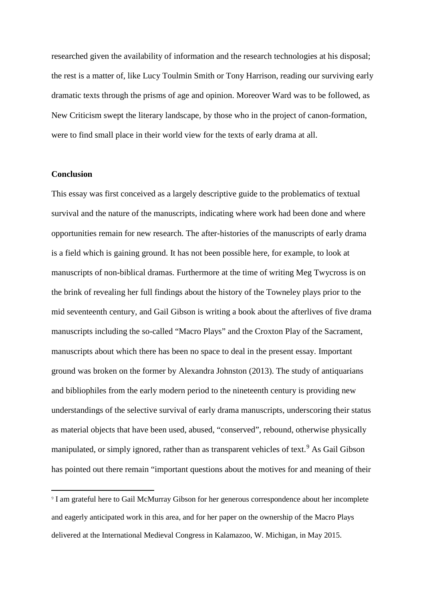researched given the availability of information and the research technologies at his disposal; the rest is a matter of, like Lucy Toulmin Smith or Tony Harrison, reading our surviving early dramatic texts through the prisms of age and opinion. Moreover Ward was to be followed, as New Criticism swept the literary landscape, by those who in the project of canon-formation, were to find small place in their world view for the texts of early drama at all.

## **Conclusion**

**.** 

This essay was first conceived as a largely descriptive guide to the problematics of textual survival and the nature of the manuscripts, indicating where work had been done and where opportunities remain for new research. The after-histories of the manuscripts of early drama is a field which is gaining ground. It has not been possible here, for example, to look at manuscripts of non-biblical dramas. Furthermore at the time of writing Meg Twycross is on the brink of revealing her full findings about the history of the Towneley plays prior to the mid seventeenth century, and Gail Gibson is writing a book about the afterlives of five drama manuscripts including the so-called "Macro Plays" and the Croxton Play of the Sacrament, manuscripts about which there has been no space to deal in the present essay. Important ground was broken on the former by Alexandra Johnston (2013). The study of antiquarians and bibliophiles from the early modern period to the nineteenth century is providing new understandings of the selective survival of early drama manuscripts, underscoring their status as material objects that have been used, abused, "conserved", rebound, otherwise physically manipulated, or simply ignored, rather than as transparent vehicles of text.<sup>[9](#page-30-0)</sup> As Gail Gibson has pointed out there remain "important questions about the motives for and meaning of their

<span id="page-30-0"></span><sup>9</sup> I am grateful here to Gail McMurray Gibson for her generous correspondence about her incomplete and eagerly anticipated work in this area, and for her paper on the ownership of the Macro Plays delivered at the International Medieval Congress in Kalamazoo, W. Michigan, in May 2015.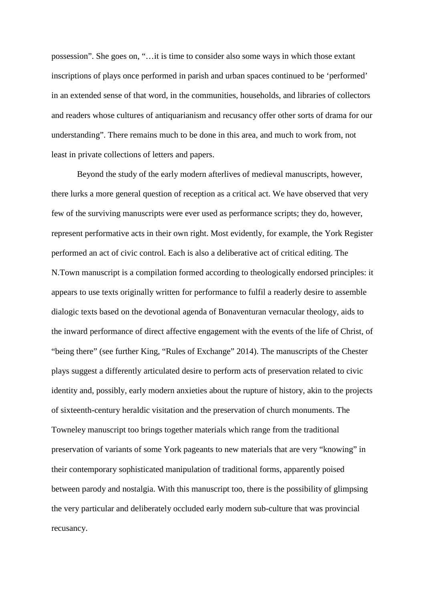possession". She goes on, "…it is time to consider also some ways in which those extant inscriptions of plays once performed in parish and urban spaces continued to be 'performed' in an extended sense of that word, in the communities, households, and libraries of collectors and readers whose cultures of antiquarianism and recusancy offer other sorts of drama for our understanding". There remains much to be done in this area, and much to work from, not least in private collections of letters and papers.

Beyond the study of the early modern afterlives of medieval manuscripts, however, there lurks a more general question of reception as a critical act. We have observed that very few of the surviving manuscripts were ever used as performance scripts; they do, however, represent performative acts in their own right. Most evidently, for example, the York Register performed an act of civic control. Each is also a deliberative act of critical editing. The N.Town manuscript is a compilation formed according to theologically endorsed principles: it appears to use texts originally written for performance to fulfil a readerly desire to assemble dialogic texts based on the devotional agenda of Bonaventuran vernacular theology, aids to the inward performance of direct affective engagement with the events of the life of Christ, of "being there" (see further King, "Rules of Exchange" 2014). The manuscripts of the Chester plays suggest a differently articulated desire to perform acts of preservation related to civic identity and, possibly, early modern anxieties about the rupture of history, akin to the projects of sixteenth-century heraldic visitation and the preservation of church monuments. The Towneley manuscript too brings together materials which range from the traditional preservation of variants of some York pageants to new materials that are very "knowing" in their contemporary sophisticated manipulation of traditional forms, apparently poised between parody and nostalgia. With this manuscript too, there is the possibility of glimpsing the very particular and deliberately occluded early modern sub-culture that was provincial recusancy.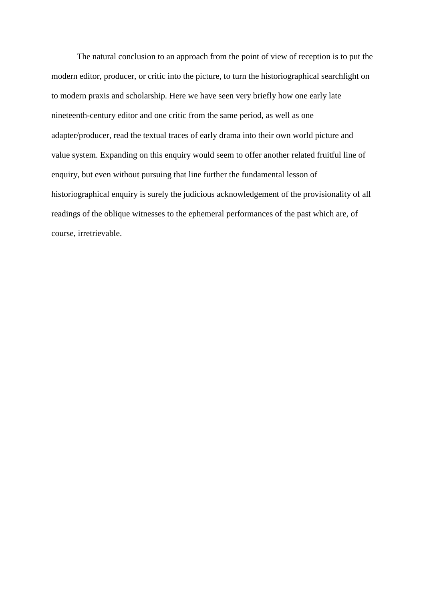The natural conclusion to an approach from the point of view of reception is to put the modern editor, producer, or critic into the picture, to turn the historiographical searchlight on to modern praxis and scholarship. Here we have seen very briefly how one early late nineteenth-century editor and one critic from the same period, as well as one adapter/producer, read the textual traces of early drama into their own world picture and value system. Expanding on this enquiry would seem to offer another related fruitful line of enquiry, but even without pursuing that line further the fundamental lesson of historiographical enquiry is surely the judicious acknowledgement of the provisionality of all readings of the oblique witnesses to the ephemeral performances of the past which are, of course, irretrievable.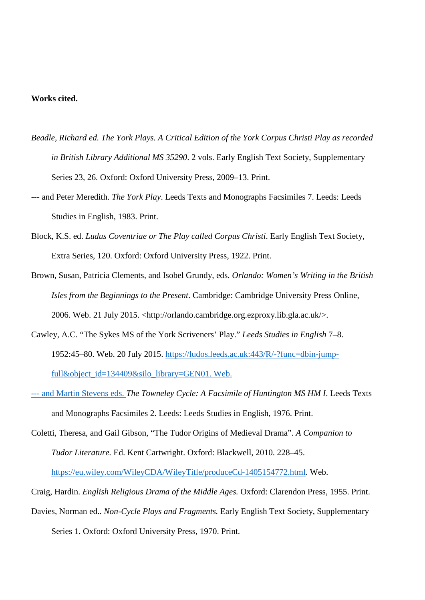# **Works cited.**

- *Beadle, Richard ed. The York Plays. A Critical Edition of the York Corpus Christi Play as recorded in British Library Additional MS 35290*. 2 vols. Early English Text Society, Supplementary Series 23, 26. Oxford: Oxford University Press, 2009–13. Print.
- --- and Peter Meredith. *The York Play*. Leeds Texts and Monographs Facsimiles 7. Leeds: Leeds Studies in English, 1983. Print.
- Block, K.S. ed. *Ludus Coventriae or The Play called Corpus Christi*. Early English Text Society, Extra Series, 120. Oxford: Oxford University Press, 1922. Print.
- Brown, Susan, Patricia Clements, and Isobel Grundy, eds. *Orlando: Women's Writing in the British Isles from the Beginnings to the Present*. Cambridge: Cambridge University Press Online, 2006. Web. 21 July 2015. <http://orlando.cambridge.org.ezproxy.lib.gla.ac.uk/>.
- Cawley, A.C. "The Sykes MS of the York Scriveners' Play." *Leeds Studies in English* 7–8. 1952:45–80. Web. 20 July 2015. [https://ludos.leeds.ac.uk:443/R/-?func=dbin-jump](https://ludos.leeds.ac.uk/R/-?func=dbin-jump-full&object_id=134409&silo_library=GEN01)[full&object\\_id=134409&silo\\_library=GEN01.](https://ludos.leeds.ac.uk/R/-?func=dbin-jump-full&object_id=134409&silo_library=GEN01) Web.
- --- and Martin Stevens eds. *The Towneley Cycle: A Facsimile of Huntington MS HM I*. Leeds Texts and Monographs Facsimiles 2. Leeds: Leeds Studies in English, 1976. Print.
- Coletti, Theresa, and Gail Gibson, "The Tudor Origins of Medieval Drama". *A Companion to Tudor Literature.* Ed. Kent Cartwright. Oxford: Blackwell, 2010. 228–45.

[https://eu.wiley.com/WileyCDA/WileyTitle/produceCd-1405154772.html.](https://eu.wiley.com/WileyCDA/WileyTitle/produceCd-1405154772.html) Web.

- Craig, Hardin. *English Religious Drama of the Middle Ages.* Oxford: Clarendon Press, 1955. Print.
- Davies, Norman ed.. *Non-Cycle Plays and Fragments.* Early English Text Society, Supplementary Series 1. Oxford: Oxford University Press, 1970. Print.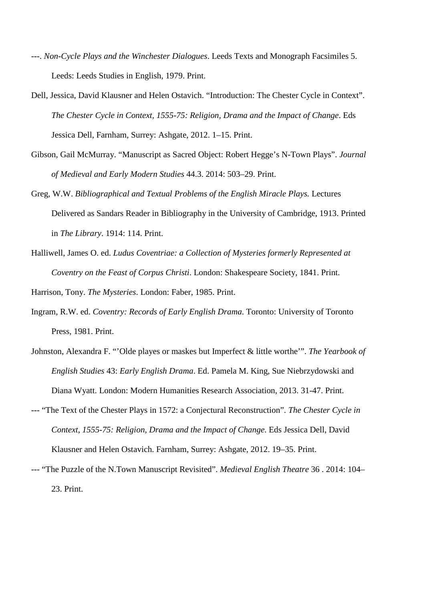- ---. *Non-Cycle Plays and the Winchester Dialogues*. Leeds Texts and Monograph Facsimiles 5. Leeds: Leeds Studies in English, 1979. Print.
- Dell, Jessica, David Klausner and Helen Ostavich. "Introduction: The Chester Cycle in Context". *The Chester Cycle in Context, 1555-75: Religion, Drama and the Impact of Change*. Eds Jessica Dell, Farnham, Surrey: Ashgate, 2012. 1–15. Print.
- Gibson, Gail McMurray. "Manuscript as Sacred Object: Robert Hegge's N-Town Plays". *Journal of Medieval and Early Modern Studies* 44.3. 2014: 503–29. Print.
- Greg, W.W. *Bibliographical and Textual Problems of the English Miracle Plays.* Lectures Delivered as Sandars Reader in Bibliography in the University of Cambridge, 1913. Printed in *The Library*. 1914: 114. Print.
- Halliwell, James O. ed. *Ludus Coventriae: a Collection of Mysteries formerly Represented at Coventry on the Feast of Corpus Christi*. London: Shakespeare Society, 1841. Print.

Harrison, Tony. *The Mysteries*. London: Faber, 1985. Print.

- Ingram, R.W. ed. *Coventry: Records of Early English Drama*. Toronto: University of Toronto Press, 1981. Print.
- Johnston, Alexandra F. "'Olde playes or maskes but Imperfect & little worthe'". *The Yearbook of English Studies* 43: *Early English Drama*. Ed. Pamela M. King, Sue Niebrzydowski and Diana Wyatt. London: Modern Humanities Research Association, 2013. 31-47. Print.
- --- "The Text of the Chester Plays in 1572: a Conjectural Reconstruction". *The Chester Cycle in Context, 1555-75: Religion, Drama and the Impact of Change*. Eds Jessica Dell, David Klausner and Helen Ostavich. Farnham, Surrey: Ashgate, 2012. 19–35. Print.
- --- "The Puzzle of the N.Town Manuscript Revisited". *Medieval English Theatre* 36 . 2014: 104– 23. Print.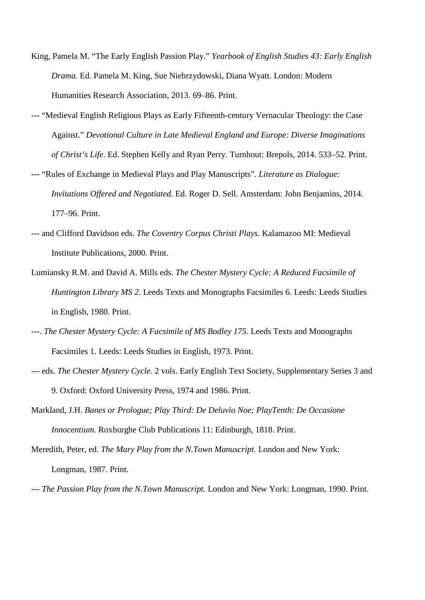- King, Pamela M. "The Early English Passion Play." *Yearbook of English Studies 43: Early English Drama.* Ed. Pamela M. King, Sue Niebrzydowski, Diana Wyatt. London: Modern Humanities Research Association, 2013. 69–86. Print.
- --- "Medieval English Religious Plays as Early Fifteenth-century Vernacular Theology: the Case Against." *Devotional Culture in Late Medieval England and Europe: Diverse Imaginations of Christ's Life*. Ed. Stephen Kelly and Ryan Perry. Turnhout: Brepols, 2014. 533–52. Print.
- --- "Rules of Exchange in Medieval Plays and Play Manuscripts". *Literature as Dialogue: Invitations Offered and Negotiated.* Ed. Roger D. Sell. Amsterdam: John Benjamins, 2014. 177–96. Print.
- --- and Clifford Davidson eds. *The Coventry Corpus Christi Plays.* Kalamazoo MI: Medieval Institute Publications, 2000. Print.
- Lumiansky R.M. and David A. Mills eds. *The Chester Mystery Cycle: A Reduced Facsimile of Huntington Library MS 2*. Leeds Texts and Monographs Facsimiles 6. Leeds: Leeds Studies in English, 1980. Print.
- ---. *The Chester Mystery Cycle: A Facsimile of MS Bodley 175*. Leeds Texts and Monographs Facsimiles 1. Leeds: Leeds Studies in English, 1973. Print.
- --- eds. *The Chester Mystery Cycle*. 2 vols. Early English Text Society, Supplementary Series 3 and 9. Oxford: Oxford University Press, 1974 and 1986. Print.
- Markland, J.H. *Banes or Prologue; Play Third: De Deluvio Noe; PlayTenth: De Occasione Innocentium*. Roxburghe Club Publications 11: Edinburgh, 1818. Print.
- Meredith, Peter, ed. *The Mary Play from the N.Town Manuscript.* London and New York: Longman, 1987. Print.
- *--- The Passion Play from the N.Town Manuscript.* London and New York: Longman, 1990. Print.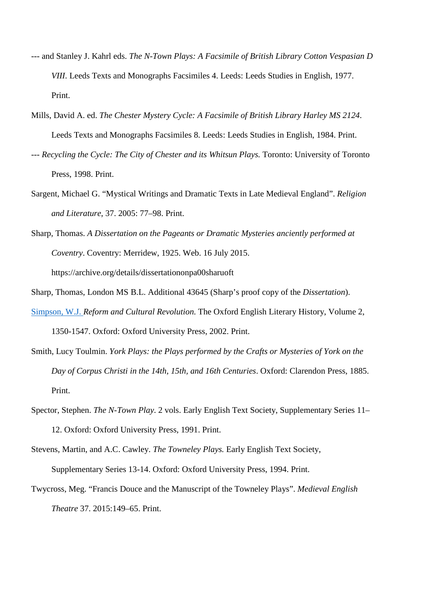- --- and Stanley J. Kahrl eds. *The N-Town Plays: A Facsimile of British Library Cotton Vespasian D VIII*. Leeds Texts and Monographs Facsimiles 4. Leeds: Leeds Studies in English, 1977. Print.
- Mills, David A. ed. *The Chester Mystery Cycle: A Facsimile of British Library Harley MS 2124*. Leeds Texts and Monographs Facsimiles 8. Leeds: Leeds Studies in English, 1984. Print.
- --- *Recycling the Cycle: The City of Chester and its Whitsun Plays. Toronto: University of Toronto* Press, 1998. Print.
- Sargent, Michael G. "Mystical Writings and Dramatic Texts in Late Medieval England". *Religion and Literature*, 37. 2005: 77–98. Print.
- Sharp, Thomas. *A Dissertation on the Pageants or Dramatic Mysteries anciently performed at Coventry*. Coventry: Merridew, 1925. Web. 16 July 2015. https://archive.org/details/dissertationonpa00sharuoft
- Sharp, Thomas, London MS B.L. Additional 43645 (Sharp's proof copy of the *Dissertation*).
- Simpson, W.J. *Reform and Cultural Revolution.* The Oxford English Literary History, Volume 2, 1350-1547. Oxford: Oxford University Press, 2002. Print.
- Smith, Lucy Toulmin. *[York Plays:](https://en.wikipedia.org/wiki/York_Plays) the Plays performed by the Crafts or Mysteries of York on the Day of Corpus Christi in the 14th, 15th, and 16th Centuries*. Oxford: Clarendon Press, 1885. Print.
- Spector, Stephen. *The N-Town Play*. 2 vols. Early English Text Society, Supplementary Series 11– 12. Oxford: Oxford University Press, 1991. Print.
- Stevens, Martin, and A.C. Cawley. *The Towneley Plays.* Early English Text Society, Supplementary Series 13-14. Oxford: Oxford University Press, 1994. Print.
- Twycross, Meg. "Francis Douce and the Manuscript of the Towneley Plays". *Medieval English Theatre* 37. 2015:149–65. Print.